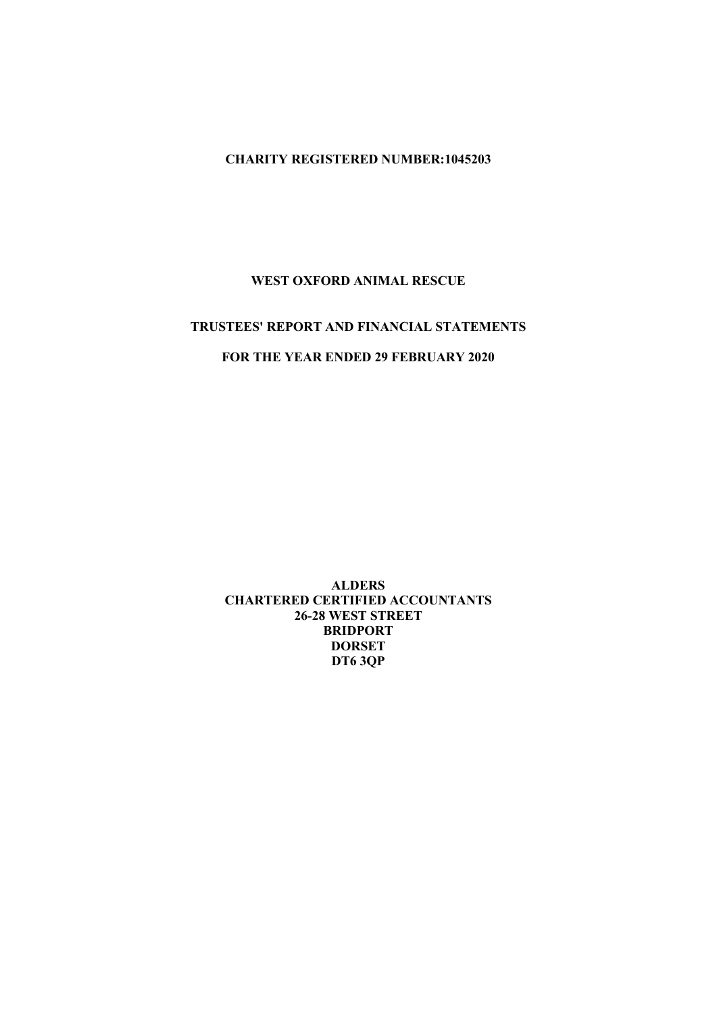## CHARITY REGISTERED NUMBER:1045203

#### WEST OXFORD ANIMAL RESCUE

# TRUSTEES' REPORT AND FINANCIAL STATEMENTS

## FOR THE YEAR ENDED 29 FEBRUARY 2020

ALDERS CHARTERED CERTIFIED ACCOUNTANTS 26-28 WEST STREET BRIDPORT DORSET DT6 3QP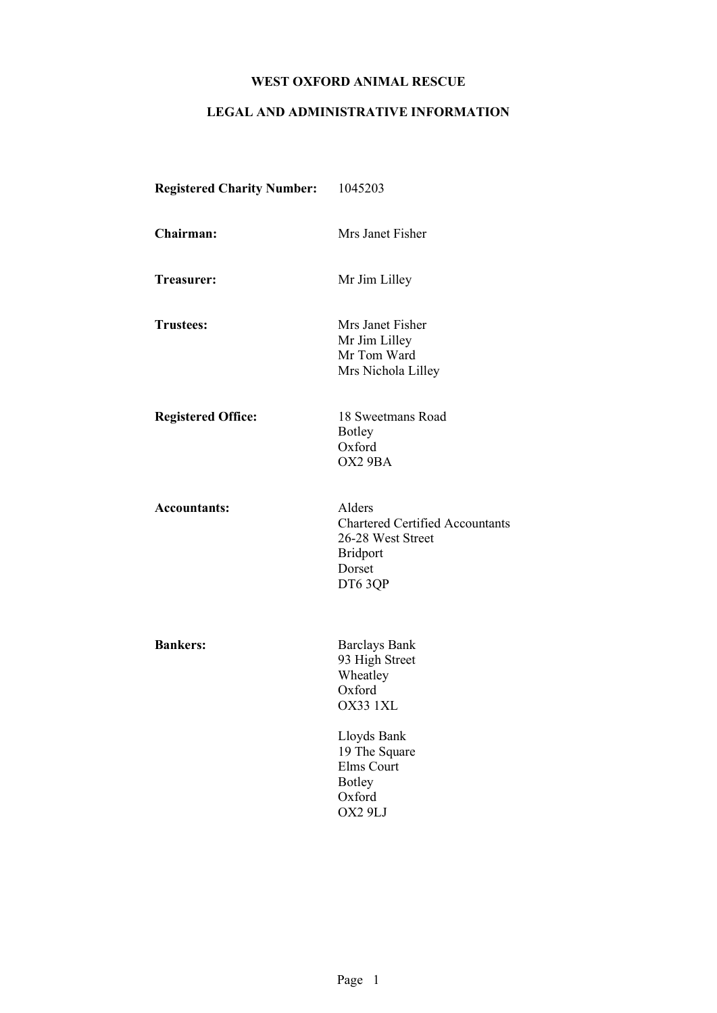# LEGAL AND ADMINISTRATIVE INFORMATION

| <b>Registered Charity Number:</b> | 1045203                                                                                                      |
|-----------------------------------|--------------------------------------------------------------------------------------------------------------|
| Chairman:                         | Mrs Janet Fisher                                                                                             |
| Treasurer:                        | Mr Jim Lilley                                                                                                |
| <b>Trustees:</b>                  | Mrs Janet Fisher<br>Mr Jim Lilley<br>Mr Tom Ward<br>Mrs Nichola Lilley                                       |
| <b>Registered Office:</b>         | 18 Sweetmans Road<br>Botley<br>Oxford<br>OX2 9BA                                                             |
| <b>Accountants:</b>               | Alders<br><b>Chartered Certified Accountants</b><br>26-28 West Street<br><b>Bridport</b><br>Dorset<br>DT63QP |
| <b>Bankers:</b>                   | <b>Barclays Bank</b><br>93 High Street<br>Wheatley<br>Oxford<br>OX33 1XL                                     |
|                                   | Lloyds Bank<br>19 The Square<br>Elms Court<br><b>Botley</b><br>Oxford<br>OX2 9LJ                             |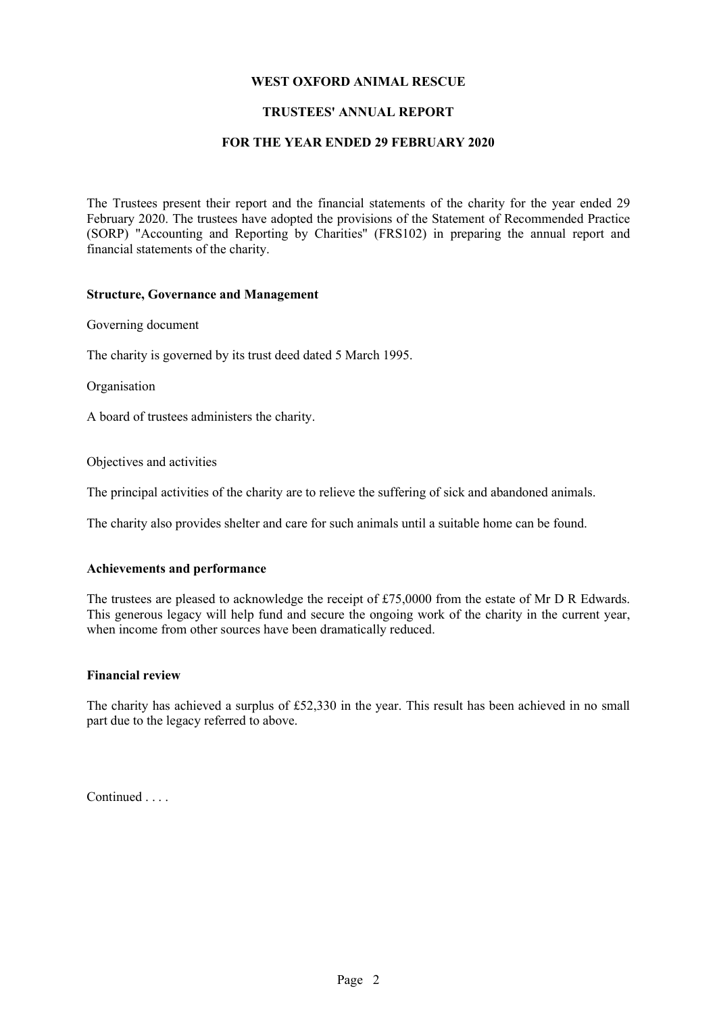### TRUSTEES' ANNUAL REPORT

#### FOR THE YEAR ENDED 29 FEBRUARY 2020

The Trustees present their report and the financial statements of the charity for the year ended 29 February 2020. The trustees have adopted the provisions of the Statement of Recommended Practice (SORP) "Accounting and Reporting by Charities" (FRS102) in preparing the annual report and financial statements of the charity.

#### Structure, Governance and Management

Governing document

The charity is governed by its trust deed dated 5 March 1995.

Organisation

A board of trustees administers the charity.

Objectives and activities

The principal activities of the charity are to relieve the suffering of sick and abandoned animals.

The charity also provides shelter and care for such animals until a suitable home can be found.

#### Achievements and performance

The trustees are pleased to acknowledge the receipt of £75,0000 from the estate of Mr D R Edwards. This generous legacy will help fund and secure the ongoing work of the charity in the current year, when income from other sources have been dramatically reduced.

#### Financial review

The charity has achieved a surplus of £52,330 in the year. This result has been achieved in no small part due to the legacy referred to above.

Continued . . . .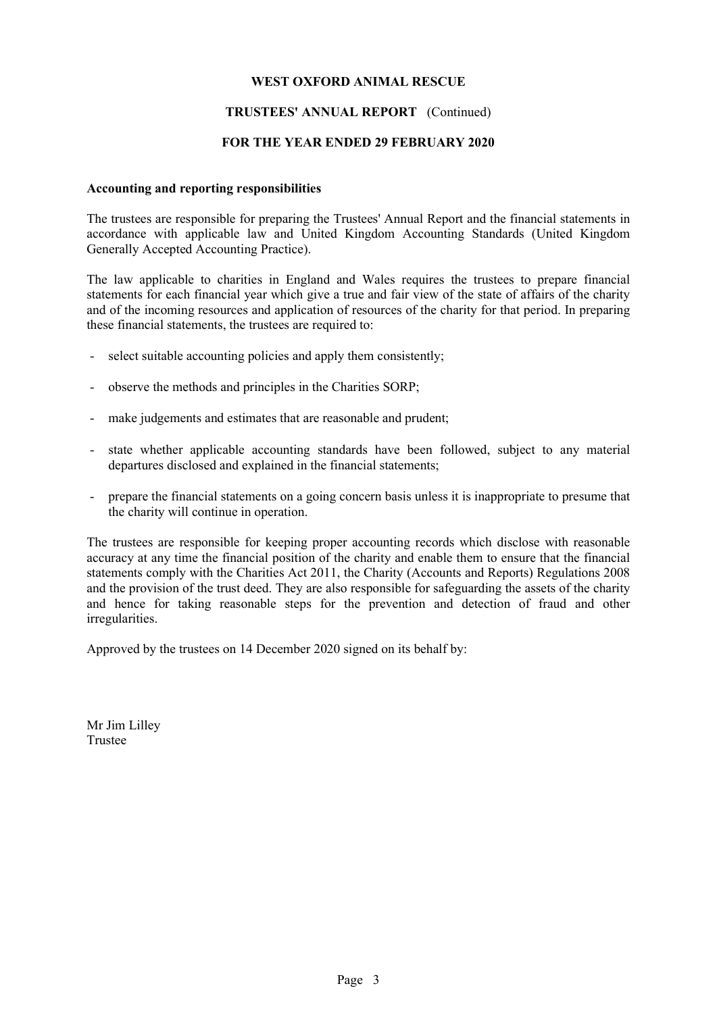#### TRUSTEES' ANNUAL REPORT (Continued)

#### FOR THE YEAR ENDED 29 FEBRUARY 2020

#### Accounting and reporting responsibilities

The trustees are responsible for preparing the Trustees' Annual Report and the financial statements in accordance with applicable law and United Kingdom Accounting Standards (United Kingdom Generally Accepted Accounting Practice).

The law applicable to charities in England and Wales requires the trustees to prepare financial statements for each financial year which give a true and fair view of the state of affairs of the charity and of the incoming resources and application of resources of the charity for that period. In preparing these financial statements, the trustees are required to:

- select suitable accounting policies and apply them consistently;
- observe the methods and principles in the Charities SORP;
- make judgements and estimates that are reasonable and prudent;
- state whether applicable accounting standards have been followed, subject to any material departures disclosed and explained in the financial statements;
- prepare the financial statements on a going concern basis unless it is inappropriate to presume that the charity will continue in operation.

The trustees are responsible for keeping proper accounting records which disclose with reasonable accuracy at any time the financial position of the charity and enable them to ensure that the financial statements comply with the Charities Act 2011, the Charity (Accounts and Reports) Regulations 2008 and the provision of the trust deed. They are also responsible for safeguarding the assets of the charity and hence for taking reasonable steps for the prevention and detection of fraud and other irregularities.

Approved by the trustees on 14 December 2020 signed on its behalf by:

Mr Jim Lilley Trustee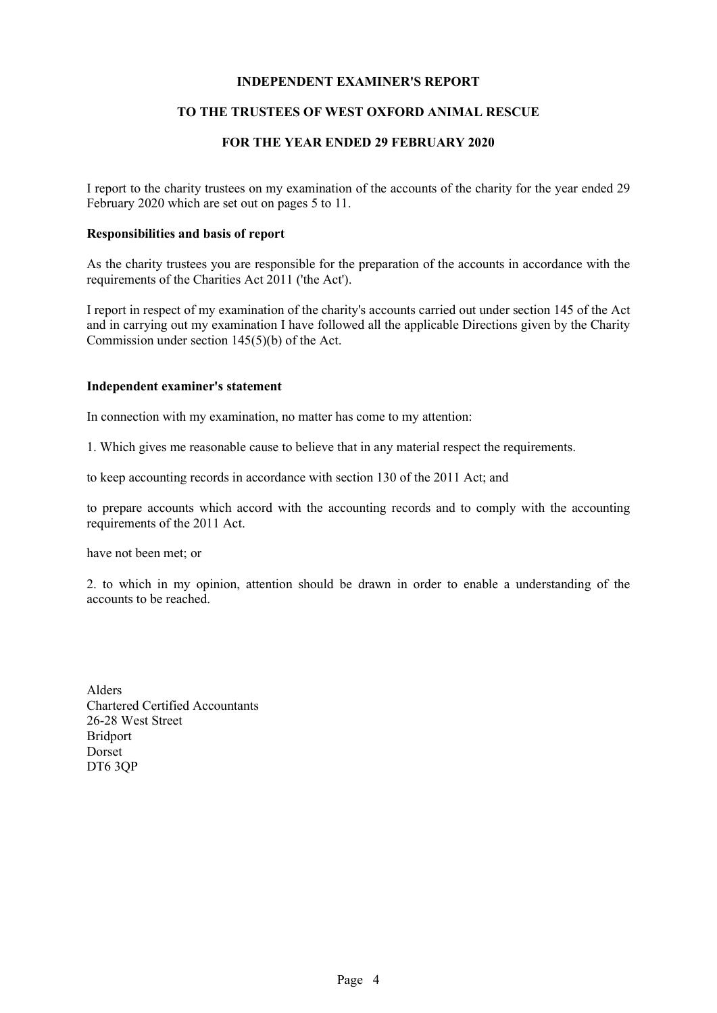### INDEPENDENT EXAMINER'S REPORT

## TO THE TRUSTEES OF WEST OXFORD ANIMAL RESCUE

## FOR THE YEAR ENDED 29 FEBRUARY 2020

I report to the charity trustees on my examination of the accounts of the charity for the year ended 29 February 2020 which are set out on pages 5 to 11.

#### Responsibilities and basis of report

As the charity trustees you are responsible for the preparation of the accounts in accordance with the requirements of the Charities Act 2011 ('the Act').

I report in respect of my examination of the charity's accounts carried out under section 145 of the Act and in carrying out my examination I have followed all the applicable Directions given by the Charity Commission under section 145(5)(b) of the Act.

#### Independent examiner's statement

In connection with my examination, no matter has come to my attention:

1. Which gives me reasonable cause to believe that in any material respect the requirements.

to keep accounting records in accordance with section 130 of the 2011 Act; and

to prepare accounts which accord with the accounting records and to comply with the accounting requirements of the 2011 Act.

have not been met; or

2. to which in my opinion, attention should be drawn in order to enable a understanding of the accounts to be reached.

Alders Chartered Certified Accountants 26-28 West Street Bridport Dorset DT6 3QP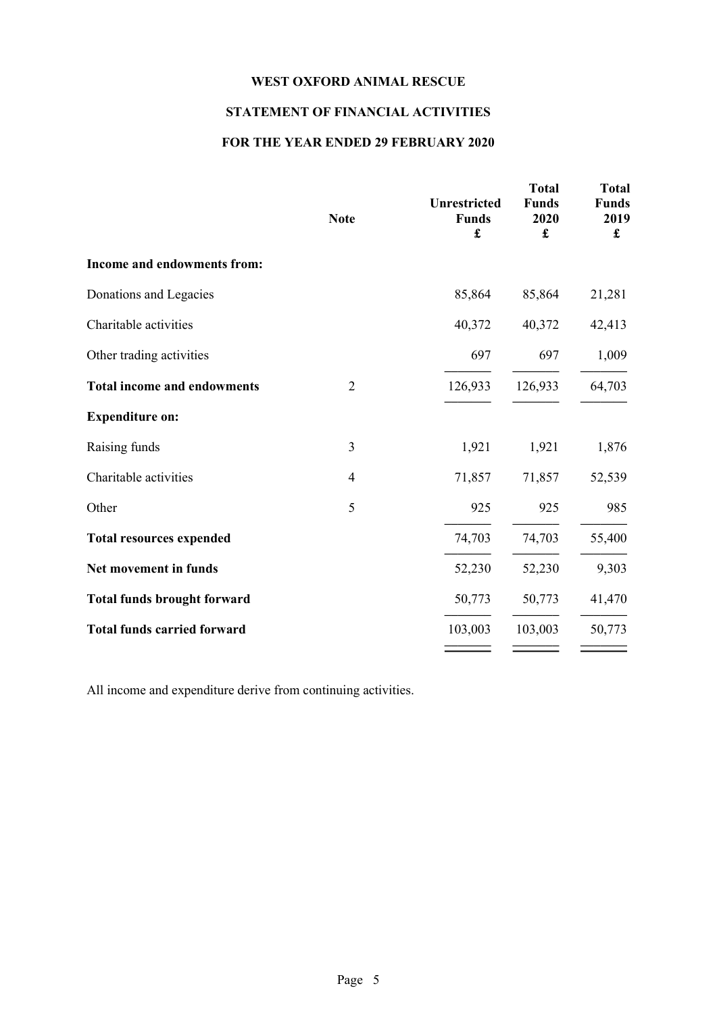## STATEMENT OF FINANCIAL ACTIVITIES

## FOR THE YEAR ENDED 29 FEBRUARY 2020

|                                    | <b>Note</b>    | <b>Unrestricted</b><br><b>Funds</b><br>£ | <b>Total</b><br><b>Funds</b><br>2020<br>$\mathbf f$ | <b>Total</b><br><b>Funds</b><br>2019<br>£ |
|------------------------------------|----------------|------------------------------------------|-----------------------------------------------------|-------------------------------------------|
| Income and endowments from:        |                |                                          |                                                     |                                           |
| Donations and Legacies             |                | 85,864                                   | 85,864                                              | 21,281                                    |
| Charitable activities              |                | 40,372                                   | 40,372                                              | 42,413                                    |
| Other trading activities           |                | 697                                      | 697                                                 | 1,009                                     |
| <b>Total income and endowments</b> | $\overline{2}$ | 126,933                                  | 126,933                                             | 64,703                                    |
| <b>Expenditure on:</b>             |                |                                          |                                                     |                                           |
| Raising funds                      | $\overline{3}$ | 1,921                                    | 1,921                                               | 1,876                                     |
| Charitable activities              | $\overline{4}$ | 71,857                                   | 71,857                                              | 52,539                                    |
| Other                              | 5              | 925                                      | 925                                                 | 985                                       |
| <b>Total resources expended</b>    |                | 74,703                                   | 74,703                                              | 55,400                                    |
| Net movement in funds              |                | 52,230                                   | 52,230                                              | 9,303                                     |
| <b>Total funds brought forward</b> |                | 50,773                                   | 50,773                                              | 41,470                                    |
| <b>Total funds carried forward</b> |                | 103,003                                  | 103,003                                             | 50,773                                    |

All income and expenditure derive from continuing activities.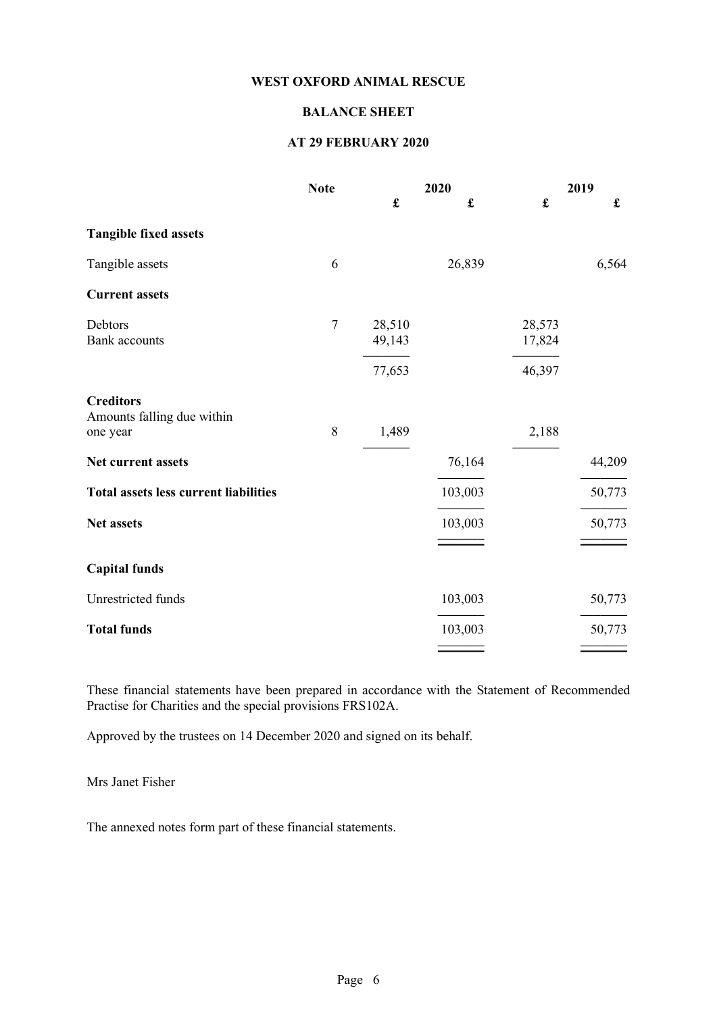## BALANCE SHEET

## AT 29 FEBRUARY 2020

|                                                            | <b>Note</b> | 2020                 |                      | 2019               |                      |
|------------------------------------------------------------|-------------|----------------------|----------------------|--------------------|----------------------|
|                                                            |             | $\pmb{\mathfrak{L}}$ | $\pmb{\mathfrak{L}}$ | $\pmb{\mathbf{f}}$ | $\pmb{\mathfrak{L}}$ |
| <b>Tangible fixed assets</b>                               |             |                      |                      |                    |                      |
| Tangible assets                                            | 6           |                      | 26,839               |                    | 6,564                |
| <b>Current assets</b>                                      |             |                      |                      |                    |                      |
| Debtors<br><b>Bank</b> accounts                            | $\tau$      | 28,510<br>49,143     |                      | 28,573<br>17,824   |                      |
|                                                            |             | 77,653               |                      | 46,397             |                      |
| <b>Creditors</b><br>Amounts falling due within<br>one year | 8           | 1,489                |                      | 2,188              |                      |
| Net current assets                                         |             |                      | 76,164               |                    | 44,209               |
| <b>Total assets less current liabilities</b>               |             |                      | 103,003              |                    | 50,773               |
| Net assets                                                 |             |                      | 103,003              |                    | 50,773               |
| <b>Capital funds</b>                                       |             |                      |                      |                    |                      |
| Unrestricted funds                                         |             |                      | 103,003              |                    | 50,773               |
| <b>Total funds</b>                                         |             |                      | 103,003              |                    | 50,773               |
|                                                            |             |                      |                      |                    |                      |

These financial statements have been prepared in accordance with the Statement of Recommended Practise for Charities and the special provisions FRS102A.

Approved by the trustees on 14 December 2020 and signed on its behalf.

Mrs Janet Fisher

The annexed notes form part of these financial statements.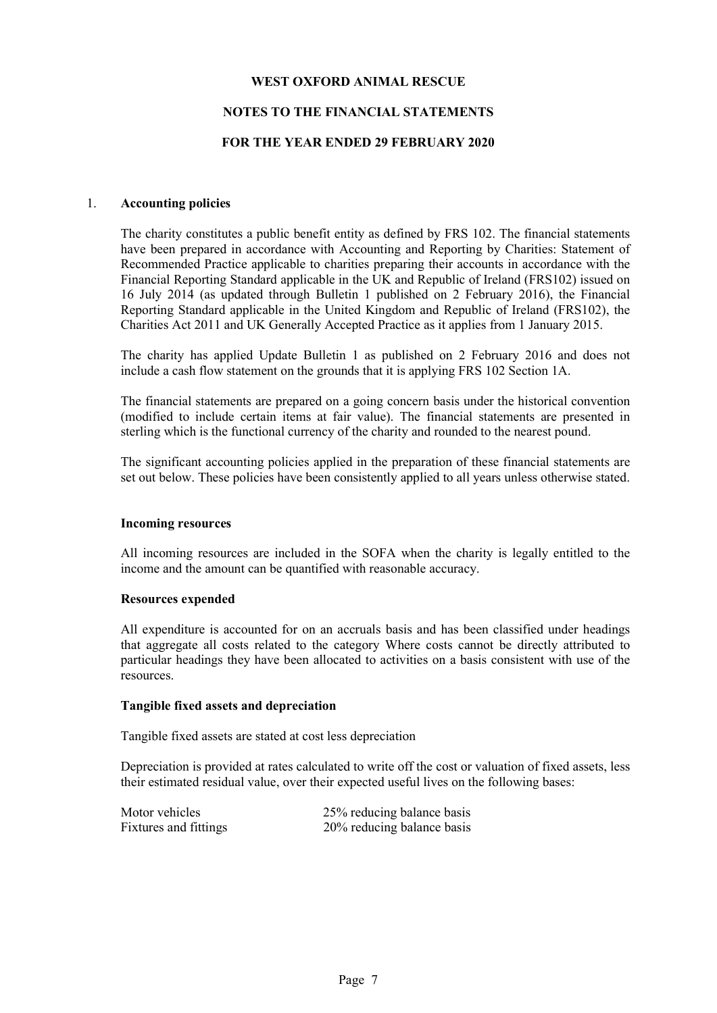## NOTES TO THE FINANCIAL STATEMENTS

#### FOR THE YEAR ENDED 29 FEBRUARY 2020

#### 1. Accounting policies

The charity constitutes a public benefit entity as defined by FRS 102. The financial statements have been prepared in accordance with Accounting and Reporting by Charities: Statement of Recommended Practice applicable to charities preparing their accounts in accordance with the Financial Reporting Standard applicable in the UK and Republic of Ireland (FRS102) issued on 16 July 2014 (as updated through Bulletin 1 published on 2 February 2016), the Financial Reporting Standard applicable in the United Kingdom and Republic of Ireland (FRS102), the Charities Act 2011 and UK Generally Accepted Practice as it applies from 1 January 2015.

The charity has applied Update Bulletin 1 as published on 2 February 2016 and does not include a cash flow statement on the grounds that it is applying FRS 102 Section 1A.

The financial statements are prepared on a going concern basis under the historical convention (modified to include certain items at fair value). The financial statements are presented in sterling which is the functional currency of the charity and rounded to the nearest pound.

The significant accounting policies applied in the preparation of these financial statements are set out below. These policies have been consistently applied to all years unless otherwise stated.

#### Incoming resources

All incoming resources are included in the SOFA when the charity is legally entitled to the income and the amount can be quantified with reasonable accuracy.

#### Resources expended

All expenditure is accounted for on an accruals basis and has been classified under headings that aggregate all costs related to the category Where costs cannot be directly attributed to particular headings they have been allocated to activities on a basis consistent with use of the resources.

#### Tangible fixed assets and depreciation

Tangible fixed assets are stated at cost less depreciation

Depreciation is provided at rates calculated to write off the cost or valuation of fixed assets, less their estimated residual value, over their expected useful lives on the following bases:

| Motor vehicles        | 25% reducing balance basis |
|-----------------------|----------------------------|
| Fixtures and fittings | 20% reducing balance basis |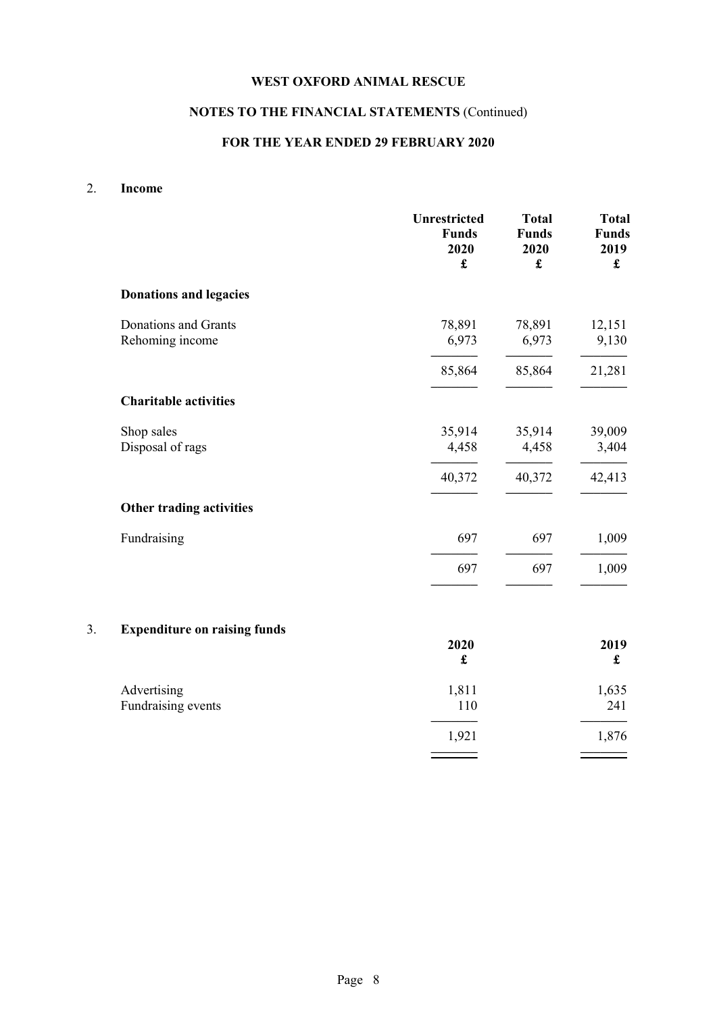# NOTES TO THE FINANCIAL STATEMENTS (Continued)

# FOR THE YEAR ENDED 29 FEBRUARY 2020

## 2. Income

|    |                                         | Unrestricted<br><b>Funds</b><br>2020<br>$\pmb{\mathfrak{L}}$ | <b>Total</b><br><b>Funds</b><br>2020<br>$\pmb{\mathbf{f}}$ | <b>Total</b><br><b>Funds</b><br>2019<br>$\pmb{\mathfrak{L}}$ |
|----|-----------------------------------------|--------------------------------------------------------------|------------------------------------------------------------|--------------------------------------------------------------|
|    | <b>Donations and legacies</b>           |                                                              |                                                            |                                                              |
|    | Donations and Grants<br>Rehoming income | 78,891<br>6,973                                              | 78,891<br>6,973                                            | 12,151<br>9,130                                              |
|    |                                         | 85,864                                                       | 85,864                                                     | 21,281                                                       |
|    | <b>Charitable activities</b>            |                                                              |                                                            |                                                              |
|    | Shop sales<br>Disposal of rags          | 35,914<br>4,458                                              | 35,914<br>4,458                                            | 39,009<br>3,404                                              |
|    |                                         | 40,372                                                       | 40,372                                                     | 42,413                                                       |
|    | Other trading activities                |                                                              |                                                            |                                                              |
|    | Fundraising                             | 697                                                          | 697                                                        | 1,009                                                        |
|    |                                         | 697                                                          | 697                                                        | 1,009                                                        |
| 3. | <b>Expenditure on raising funds</b>     |                                                              |                                                            |                                                              |
|    |                                         | 2020<br>$\pmb{\mathfrak{L}}$                                 |                                                            | 2019<br>£                                                    |
|    | Advertising<br>Fundraising events       | 1,811<br>110                                                 |                                                            | 1,635<br>241                                                 |
|    |                                         | 1,921                                                        |                                                            | 1,876                                                        |

––––––– –––––––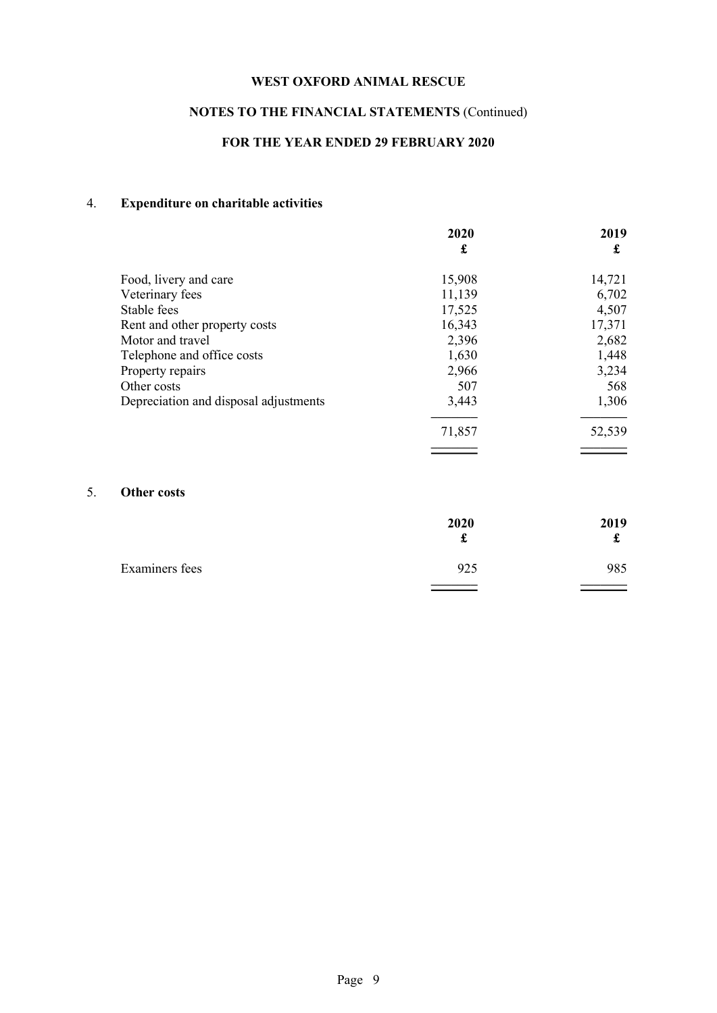# NOTES TO THE FINANCIAL STATEMENTS (Continued)

# FOR THE YEAR ENDED 29 FEBRUARY 2020

# 4. Expenditure on charitable activities

|                                       | 2020<br>£ | 2019<br>£ |
|---------------------------------------|-----------|-----------|
|                                       |           |           |
| Food, livery and care                 | 15,908    | 14,721    |
| Veterinary fees                       | 11,139    | 6,702     |
| Stable fees                           | 17,525    | 4,507     |
| Rent and other property costs         | 16,343    | 17,371    |
| Motor and travel                      | 2,396     | 2,682     |
| Telephone and office costs            | 1,630     | 1,448     |
| Property repairs                      | 2,966     | 3,234     |
| Other costs                           | 507       | 568       |
| Depreciation and disposal adjustments | 3,443     | 1,306     |
|                                       | 71,857    | 52,539    |
|                                       |           |           |

# 5. Other costs

|                | 2020<br>ىق | 2019<br>ىق |
|----------------|------------|------------|
| Examiners fees | 925        | 985        |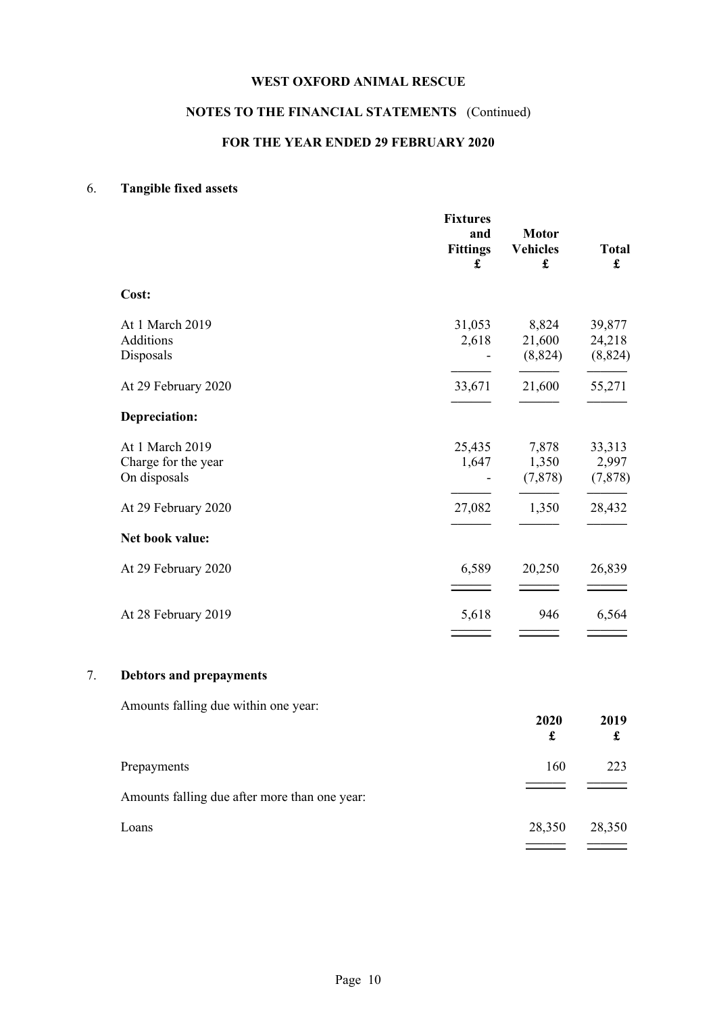# NOTES TO THE FINANCIAL STATEMENTS (Continued)

## FOR THE YEAR ENDED 29 FEBRUARY 2020

# 6. Tangible fixed assets

|    |                                                        | <b>Fixtures</b><br>and<br><b>Fittings</b><br>£  | <b>Motor</b><br><b>Vehicles</b><br>£ | <b>Total</b><br>$\mathbf f$  |
|----|--------------------------------------------------------|-------------------------------------------------|--------------------------------------|------------------------------|
|    | Cost:                                                  |                                                 |                                      |                              |
|    | At 1 March 2019<br>Additions<br>Disposals              | 31,053<br>2,618                                 | 8,824<br>21,600<br>(8, 824)          | 39,877<br>24,218<br>(8, 824) |
|    | At 29 February 2020                                    | 33,671                                          | 21,600                               | 55,271                       |
|    | Depreciation:                                          |                                                 |                                      |                              |
|    | At 1 March 2019<br>Charge for the year<br>On disposals | 25,435<br>1,647<br>$\qquad \qquad \blacksquare$ | 7,878<br>1,350<br>(7,878)            | 33,313<br>2,997<br>(7, 878)  |
|    | At 29 February 2020                                    | 27,082                                          | 1,350                                | 28,432                       |
|    | Net book value:                                        |                                                 |                                      |                              |
|    | At 29 February 2020                                    | 6,589                                           | 20,250                               | 26,839                       |
|    | At 28 February 2019                                    | 5,618                                           | 946                                  | 6,564                        |
| 7. | <b>Debtors and prepayments</b>                         |                                                 |                                      |                              |
|    | Amounts falling due within one year:                   |                                                 |                                      |                              |
|    |                                                        |                                                 | 2020<br>$\pmb{\mathfrak{L}}$         | 2019<br>£                    |
|    | Prepayments                                            |                                                 | 160                                  | 223                          |
|    | Amounts falling due after more than one year:          |                                                 |                                      |                              |
|    | Loans                                                  |                                                 | 28,350                               | 28,350                       |

–––––– ––––––